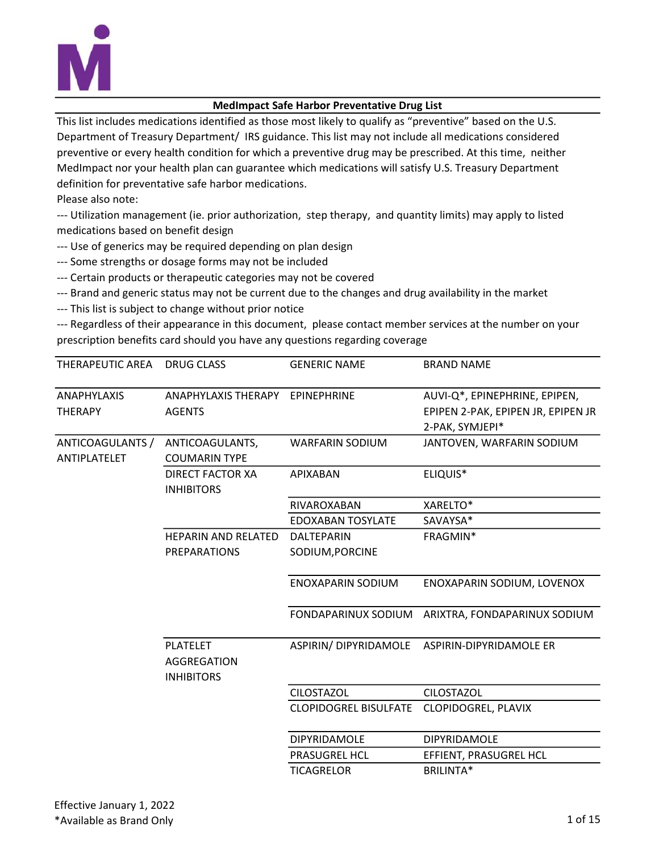

## MedImpact Safe Harbor Preventative Drug List

This list includes medications identified as those most likely to qualify as "preventive" based on the U.S. Department of Treasury Department/ IRS guidance. This list may not include all medications considered preventive or every health condition for which a preventive drug may be prescribed. At this time, neither MedImpact nor your health plan can guarantee which medications will satisfy U.S. Treasury Department definition for preventative safe harbor medications.

Please also note:

--- Utilization management (ie. prior authorization, step therapy, and quantity limits) may apply to listed medications based on benefit design

- --- Use of generics may be required depending on plan design
- --- Some strengths or dosage forms may not be included
- --- Certain products or therapeutic categories may not be covered
- --- Brand and generic status may not be current due to the changes and drug availability in the market
- --- This list is subject to change without prior notice

--- Regardless of their appearance in this document, please contact member services at the number on your prescription benefits card should you have any questions regarding coverage

| THERAPEUTIC AREA | DRUG CLASS                      | <b>GENERIC NAME</b>          | <b>BRAND NAME</b>                  |
|------------------|---------------------------------|------------------------------|------------------------------------|
| ANAPHYLAXIS      | ANAPHYLAXIS THERAPY EPINEPHRINE |                              | AUVI-Q*, EPINEPHRINE, EPIPEN,      |
| <b>THERAPY</b>   | <b>AGENTS</b>                   |                              | EPIPEN 2-PAK, EPIPEN JR, EPIPEN JR |
|                  |                                 |                              | 2-PAK, SYMJEPI*                    |
| ANTICOAGULANTS / | ANTICOAGULANTS,                 | <b>WARFARIN SODIUM</b>       | JANTOVEN, WARFARIN SODIUM          |
| ANTIPLATELET     | <b>COUMARIN TYPE</b>            |                              |                                    |
|                  | <b>DIRECT FACTOR XA</b>         | <b>APIXABAN</b>              | ELIQUIS*                           |
|                  | <b>INHIBITORS</b>               |                              |                                    |
|                  |                                 | RIVAROXABAN                  | XARELTO*                           |
|                  |                                 | <b>EDOXABAN TOSYLATE</b>     | SAVAYSA*                           |
|                  | <b>HEPARIN AND RELATED</b>      | DALTEPARIN                   | FRAGMIN*                           |
|                  | <b>PREPARATIONS</b>             | SODIUM, PORCINE              |                                    |
|                  |                                 |                              |                                    |
|                  |                                 | <b>ENOXAPARIN SODIUM</b>     | ENOXAPARIN SODIUM, LOVENOX         |
|                  |                                 | FONDAPARINUX SODIUM          | ARIXTRA, FONDAPARINUX SODIUM       |
|                  | <b>PLATELET</b>                 | ASPIRIN/ DIPYRIDAMOLE        | ASPIRIN-DIPYRIDAMOLE ER            |
|                  | AGGREGATION                     |                              |                                    |
|                  | <b>INHIBITORS</b>               |                              |                                    |
|                  |                                 | <b>CILOSTAZOL</b>            | <b>CILOSTAZOL</b>                  |
|                  |                                 | <b>CLOPIDOGREL BISULFATE</b> | CLOPIDOGREL, PLAVIX                |
|                  |                                 | DIPYRIDAMOLE                 | <b>DIPYRIDAMOLE</b>                |
|                  |                                 | <b>PRASUGREL HCL</b>         | EFFIENT, PRASUGREL HCL             |
|                  |                                 | <b>TICAGRELOR</b>            | <b>BRILINTA*</b>                   |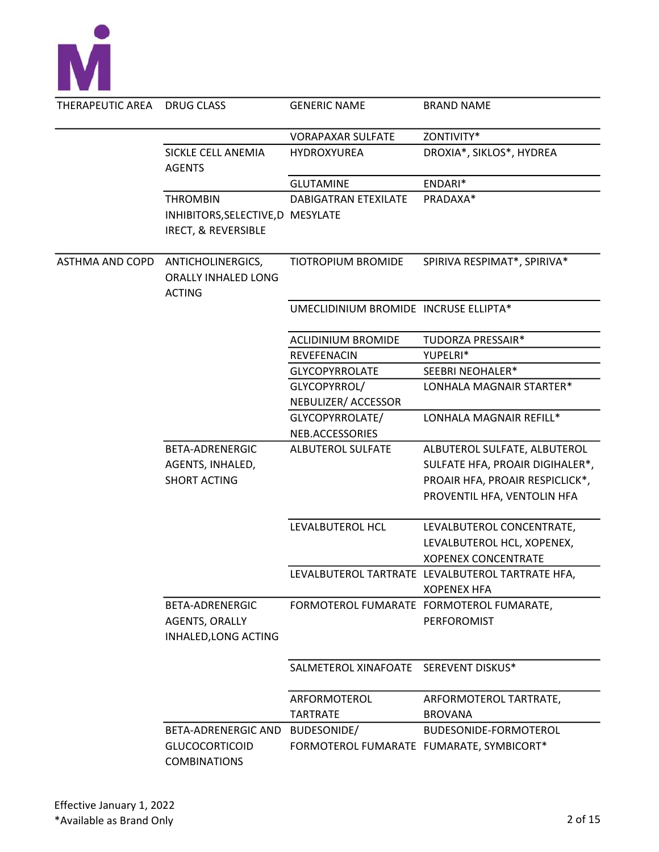

| THERAPEUTIC AREA       | DRUG CLASS                                                | <b>GENERIC NAME</b>                      | <b>BRAND NAME</b>                                                      |
|------------------------|-----------------------------------------------------------|------------------------------------------|------------------------------------------------------------------------|
|                        |                                                           | <b>VORAPAXAR SULFATE</b>                 | ZONTIVITY*                                                             |
|                        | SICKLE CELL ANEMIA<br><b>AGENTS</b>                       | HYDROXYUREA                              | DROXIA*, SIKLOS*, HYDREA                                               |
|                        |                                                           | <b>GLUTAMINE</b>                         | ENDARI*                                                                |
|                        | <b>THROMBIN</b>                                           | <b>DABIGATRAN ETEXILATE</b>              | PRADAXA*                                                               |
|                        | INHIBITORS, SELECTIVE, D MESYLATE<br>IRECT, & REVERSIBLE  |                                          |                                                                        |
| <b>ASTHMA AND COPD</b> | ANTICHOLINERGICS,<br>ORALLY INHALED LONG<br><b>ACTING</b> | TIOTROPIUM BROMIDE                       | SPIRIVA RESPIMAT*, SPIRIVA*                                            |
|                        |                                                           | UMECLIDINIUM BROMIDE INCRUSE ELLIPTA*    |                                                                        |
|                        |                                                           | <b>ACLIDINIUM BROMIDE</b>                | TUDORZA PRESSAIR*                                                      |
|                        |                                                           | REVEFENACIN                              | YUPELRI*                                                               |
|                        |                                                           | <b>GLYCOPYRROLATE</b>                    | SEEBRI NEOHALER*                                                       |
|                        |                                                           | GLYCOPYRROL/                             | LONHALA MAGNAIR STARTER*                                               |
|                        |                                                           | NEBULIZER/ ACCESSOR                      |                                                                        |
|                        |                                                           | GLYCOPYRROLATE/                          | LONHALA MAGNAIR REFILL*                                                |
|                        |                                                           | NEB.ACCESSORIES                          |                                                                        |
|                        | <b>BETA-ADRENERGIC</b>                                    | ALBUTEROL SULFATE                        | ALBUTEROL SULFATE, ALBUTEROL                                           |
|                        | AGENTS, INHALED,                                          |                                          | SULFATE HFA, PROAIR DIGIHALER*,                                        |
|                        | <b>SHORT ACTING</b>                                       |                                          | PROAIR HFA, PROAIR RESPICLICK*,                                        |
|                        |                                                           |                                          | PROVENTIL HFA, VENTOLIN HFA                                            |
|                        |                                                           | LEVALBUTEROL HCL                         | LEVALBUTEROL CONCENTRATE,                                              |
|                        |                                                           |                                          | LEVALBUTEROL HCL, XOPENEX,                                             |
|                        |                                                           |                                          | <b>XOPENEX CONCENTRATE</b>                                             |
|                        |                                                           |                                          | LEVALBUTEROL TARTRATE LEVALBUTEROL TARTRATE HFA,<br><b>XOPENEX HFA</b> |
|                        | BETA-ADRENERGIC<br>AGENTS, ORALLY<br>INHALED, LONG ACTING |                                          | FORMOTEROL FUMARATE FORMOTEROL FUMARATE,<br>PERFOROMIST                |
|                        |                                                           | SALMETEROL XINAFOATE SEREVENT DISKUS*    |                                                                        |
|                        |                                                           | ARFORMOTEROL                             | ARFORMOTEROL TARTRATE,                                                 |
|                        |                                                           | <b>TARTRATE</b>                          | <b>BROVANA</b>                                                         |
|                        | <b>BETA-ADRENERGIC AND</b>                                | BUDESONIDE/                              | BUDESONIDE-FORMOTEROL                                                  |
|                        | <b>GLUCOCORTICOID</b><br><b>COMBINATIONS</b>              | FORMOTEROL FUMARATE FUMARATE, SYMBICORT* |                                                                        |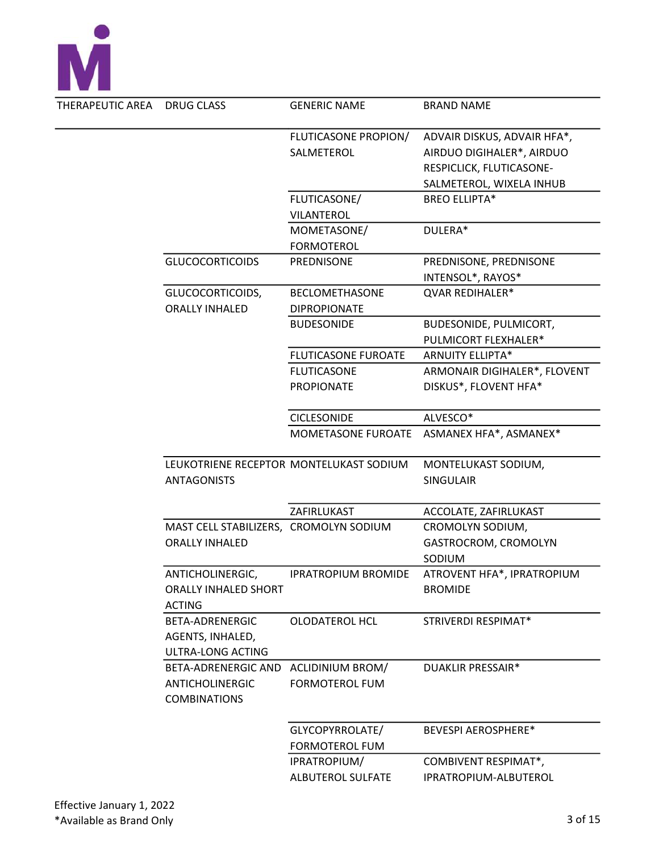

| THERAPEUTIC AREA | <b>DRUG CLASS</b>                      | <b>GENERIC NAME</b>                     | <b>BRAND NAME</b>            |
|------------------|----------------------------------------|-----------------------------------------|------------------------------|
|                  |                                        | FLUTICASONE PROPION/                    | ADVAIR DISKUS, ADVAIR HFA*,  |
|                  |                                        | SALMETEROL                              | AIRDUO DIGIHALER*, AIRDUO    |
|                  |                                        |                                         | RESPICLICK, FLUTICASONE-     |
|                  |                                        |                                         | SALMETEROL, WIXELA INHUB     |
|                  |                                        | FLUTICASONE/                            | <b>BREO ELLIPTA*</b>         |
|                  |                                        | <b>VILANTEROL</b>                       |                              |
|                  |                                        | MOMETASONE/                             | DULERA*                      |
|                  |                                        | <b>FORMOTEROL</b>                       |                              |
|                  | <b>GLUCOCORTICOIDS</b>                 | PREDNISONE                              | PREDNISONE, PREDNISONE       |
|                  |                                        |                                         | INTENSOL*, RAYOS*            |
|                  | GLUCOCORTICOIDS,                       | <b>BECLOMETHASONE</b>                   | QVAR REDIHALER*              |
|                  | <b>ORALLY INHALED</b>                  | <b>DIPROPIONATE</b>                     |                              |
|                  |                                        | <b>BUDESONIDE</b>                       | BUDESONIDE, PULMICORT,       |
|                  |                                        |                                         | PULMICORT FLEXHALER*         |
|                  |                                        | <b>FLUTICASONE FUROATE</b>              | <b>ARNUITY ELLIPTA*</b>      |
|                  |                                        | <b>FLUTICASONE</b>                      | ARMONAIR DIGIHALER*, FLOVENT |
|                  |                                        | <b>PROPIONATE</b>                       | DISKUS*, FLOVENT HFA*        |
|                  |                                        |                                         |                              |
|                  |                                        | <b>CICLESONIDE</b>                      | ALVESCO*                     |
|                  |                                        | MOMETASONE FUROATE                      | ASMANEX HFA*, ASMANEX*       |
|                  |                                        |                                         |                              |
|                  |                                        | LEUKOTRIENE RECEPTOR MONTELUKAST SODIUM | MONTELUKAST SODIUM,          |
|                  | <b>ANTAGONISTS</b>                     |                                         | <b>SINGULAIR</b>             |
|                  |                                        |                                         |                              |
|                  |                                        | ZAFIRLUKAST                             | ACCOLATE, ZAFIRLUKAST        |
|                  | MAST CELL STABILIZERS, CROMOLYN SODIUM |                                         | CROMOLYN SODIUM,             |
|                  | <b>ORALLY INHALED</b>                  |                                         | GASTROCROM, CROMOLYN         |
|                  |                                        |                                         | SODIUM                       |
|                  | ANTICHOLINERGIC,                       | <b>IPRATROPIUM BROMIDE</b>              | ATROVENT HFA*, IPRATROPIUM   |
|                  | <b>ORALLY INHALED SHORT</b>            |                                         | <b>BROMIDE</b>               |
|                  | <b>ACTING</b>                          |                                         |                              |
|                  | <b>BETA-ADRENERGIC</b>                 | <b>OLODATEROL HCL</b>                   | STRIVERDI RESPIMAT*          |
|                  | AGENTS, INHALED,                       |                                         |                              |
|                  | ULTRA-LONG ACTING                      |                                         |                              |
|                  | BETA-ADRENERGIC AND                    | <b>ACLIDINIUM BROM/</b>                 | DUAKLIR PRESSAIR*            |
|                  | <b>ANTICHOLINERGIC</b>                 | <b>FORMOTEROL FUM</b>                   |                              |
|                  | <b>COMBINATIONS</b>                    |                                         |                              |
|                  |                                        |                                         |                              |
|                  |                                        | GLYCOPYRROLATE/                         | <b>BEVESPI AEROSPHERE*</b>   |
|                  |                                        | <b>FORMOTEROL FUM</b>                   |                              |
|                  |                                        | IPRATROPIUM/                            | <b>COMBIVENT RESPIMAT*,</b>  |
|                  |                                        | <b>ALBUTEROL SULFATE</b>                | IPRATROPIUM-ALBUTEROL        |
|                  |                                        |                                         |                              |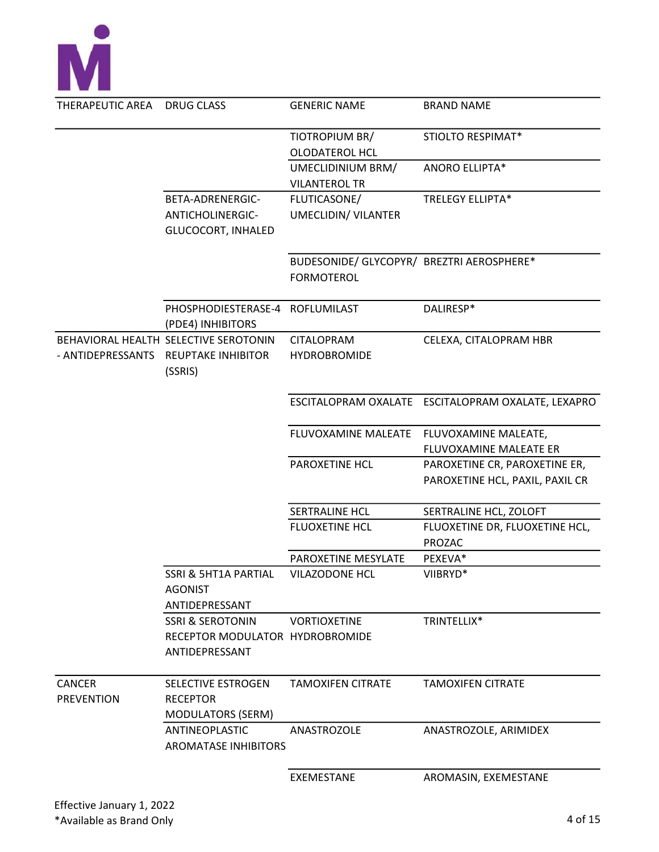

| THERAPEUTIC AREA  | DRUG CLASS                                               | <b>GENERIC NAME</b>                       | <b>BRAND NAME</b>                                  |
|-------------------|----------------------------------------------------------|-------------------------------------------|----------------------------------------------------|
|                   |                                                          | TIOTROPIUM BR/                            | STIOLTO RESPIMAT*                                  |
|                   |                                                          | <b>OLODATEROL HCL</b>                     |                                                    |
|                   |                                                          | UMECLIDINIUM BRM/                         | <b>ANORO ELLIPTA*</b>                              |
|                   |                                                          | <b>VILANTEROL TR</b>                      |                                                    |
|                   | BETA-ADRENERGIC-                                         | FLUTICASONE/                              | TRELEGY ELLIPTA*                                   |
|                   | ANTICHOLINERGIC-                                         | UMECLIDIN/ VILANTER                       |                                                    |
|                   | <b>GLUCOCORT, INHALED</b>                                |                                           |                                                    |
|                   |                                                          | BUDESONIDE/ GLYCOPYR/ BREZTRI AEROSPHERE* |                                                    |
|                   |                                                          | <b>FORMOTEROL</b>                         |                                                    |
|                   | PHOSPHODIESTERASE-4 ROFLUMILAST<br>(PDE4) INHIBITORS     |                                           | DALIRESP*                                          |
|                   | BEHAVIORAL HEALTH SELECTIVE SEROTONIN                    | CITALOPRAM                                | CELEXA, CITALOPRAM HBR                             |
| - ANTIDEPRESSANTS | <b>REUPTAKE INHIBITOR</b><br>(SSRIS)                     | <b>HYDROBROMIDE</b>                       |                                                    |
|                   |                                                          |                                           | ESCITALOPRAM OXALATE ESCITALOPRAM OXALATE, LEXAPRO |
|                   |                                                          | FLUVOXAMINE MALEATE                       | FLUVOXAMINE MALEATE,                               |
|                   |                                                          |                                           | FLUVOXAMINE MALEATE ER                             |
|                   |                                                          | PAROXETINE HCL                            | PAROXETINE CR, PAROXETINE ER,                      |
|                   |                                                          |                                           | PAROXETINE HCL, PAXIL, PAXIL CR                    |
|                   |                                                          | <b>SERTRALINE HCL</b>                     | SERTRALINE HCL, ZOLOFT                             |
|                   |                                                          | <b>FLUOXETINE HCL</b>                     | FLUOXETINE DR, FLUOXETINE HCL,<br><b>PROZAC</b>    |
|                   |                                                          | PAROXETINE MESYLATE                       | PEXEVA*                                            |
|                   | SSRI & 5HT1A PARTIAL<br><b>AGONIST</b><br>ANTIDEPRESSANT | VILAZODONE HCL                            | VIIBRYD*                                           |
|                   | <b>SSRI &amp; SEROTONIN</b>                              | <b>VORTIOXETINE</b>                       | TRINTELLIX*                                        |
|                   | RECEPTOR MODULATOR HYDROBROMIDE                          |                                           |                                                    |
|                   | ANTIDEPRESSANT                                           |                                           |                                                    |
|                   |                                                          |                                           |                                                    |
| <b>CANCER</b>     | SELECTIVE ESTROGEN                                       | <b>TAMOXIFEN CITRATE</b>                  | <b>TAMOXIFEN CITRATE</b>                           |
| <b>PREVENTION</b> | <b>RECEPTOR</b>                                          |                                           |                                                    |
|                   | <b>MODULATORS (SERM)</b>                                 |                                           |                                                    |
|                   | ANTINEOPLASTIC<br><b>AROMATASE INHIBITORS</b>            | ANASTROZOLE                               | ANASTROZOLE, ARIMIDEX                              |
|                   |                                                          | <b>EXEMESTANE</b>                         | AROMASIN, EXEMESTANE                               |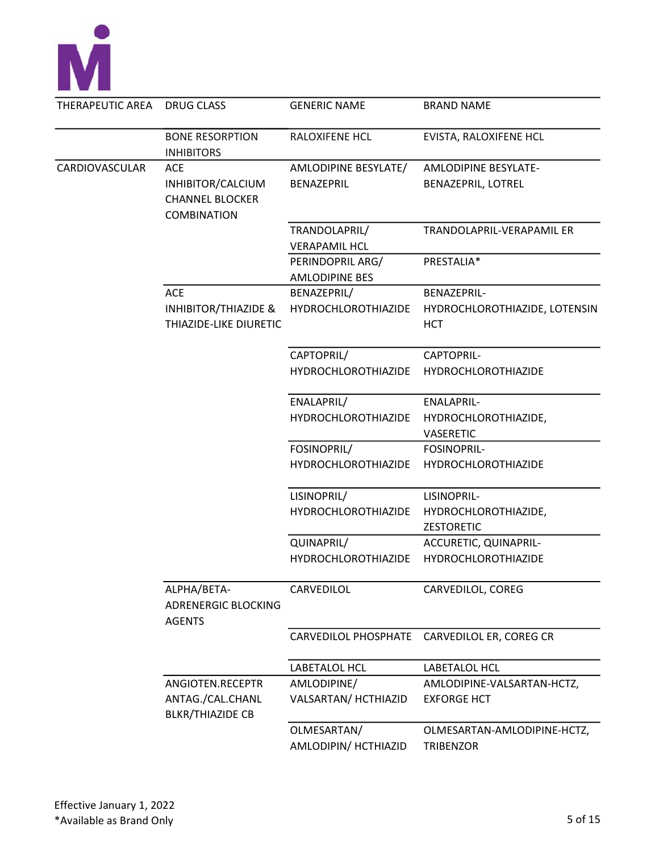

| THERAPEUTIC AREA | DRUG CLASS                                                              | <b>GENERIC NAME</b>                       | <b>BRAND NAME</b>                                          |
|------------------|-------------------------------------------------------------------------|-------------------------------------------|------------------------------------------------------------|
|                  | <b>BONE RESORPTION</b><br><b>INHIBITORS</b>                             | RALOXIFENE HCL                            | EVISTA, RALOXIFENE HCL                                     |
| CARDIOVASCULAR   | <b>ACE</b>                                                              | AMLODIPINE BESYLATE/                      | <b>AMLODIPINE BESYLATE-</b>                                |
|                  | INHIBITOR/CALCIUM<br><b>CHANNEL BLOCKER</b><br><b>COMBINATION</b>       | BENAZEPRIL                                | BENAZEPRIL, LOTREL                                         |
|                  |                                                                         | TRANDOLAPRIL/<br><b>VERAPAMIL HCL</b>     | TRANDOLAPRIL-VERAPAMIL ER                                  |
|                  |                                                                         | PERINDOPRIL ARG/<br><b>AMLODIPINE BES</b> | PRESTALIA*                                                 |
|                  | <b>ACE</b><br><b>INHIBITOR/THIAZIDE &amp;</b><br>THIAZIDE-LIKE DIURETIC | BENAZEPRIL/<br><b>HYDROCHLOROTHIAZIDE</b> | BENAZEPRIL-<br>HYDROCHLOROTHIAZIDE, LOTENSIN<br><b>HCT</b> |
|                  |                                                                         | CAPTOPRIL/<br><b>HYDROCHLOROTHIAZIDE</b>  | CAPTOPRIL-<br><b>HYDROCHLOROTHIAZIDE</b>                   |
|                  |                                                                         | ENALAPRIL/<br><b>HYDROCHLOROTHIAZIDE</b>  | <b>ENALAPRIL-</b><br>HYDROCHLOROTHIAZIDE,<br>VASERETIC     |
|                  |                                                                         | FOSINOPRIL/<br><b>HYDROCHLOROTHIAZIDE</b> | <b>FOSINOPRIL-</b><br>HYDROCHLOROTHIAZIDE                  |
|                  |                                                                         | LISINOPRIL/                               | LISINOPRIL-                                                |
|                  |                                                                         | <b>HYDROCHLOROTHIAZIDE</b>                | HYDROCHLOROTHIAZIDE,<br><b>ZESTORETIC</b>                  |
|                  |                                                                         | QUINAPRIL/<br><b>HYDROCHLOROTHIAZIDE</b>  | ACCURETIC, QUINAPRIL-<br><b>HYDROCHLOROTHIAZIDE</b>        |
|                  | ALPHA/BETA-<br><b>ADRENERGIC BLOCKING</b><br><b>AGENTS</b>              | CARVEDILOL                                | CARVEDILOL, COREG                                          |
|                  |                                                                         | <b>CARVEDILOL PHOSPHATE</b>               | CARVEDILOL ER, COREG CR                                    |
|                  |                                                                         | LABETALOL HCL                             | LABETALOL HCL                                              |
|                  | ANGIOTEN.RECEPTR<br>ANTAG./CAL.CHANL<br><b>BLKR/THIAZIDE CB</b>         | AMLODIPINE/<br>VALSARTAN/ HCTHIAZID       | AMLODIPINE-VALSARTAN-HCTZ,<br><b>EXFORGE HCT</b>           |
|                  |                                                                         | OLMESARTAN/<br>AMLODIPIN/ HCTHIAZID       | OLMESARTAN-AMLODIPINE-HCTZ,<br><b>TRIBENZOR</b>            |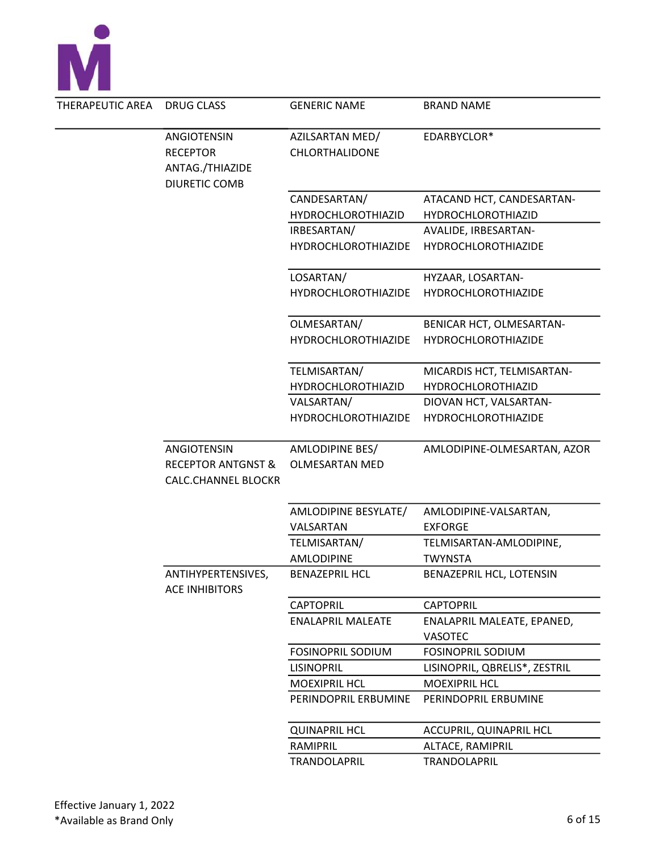

| DRUG CLASS                                                  | <b>GENERIC NAME</b>               | <b>BRAND NAME</b>                                                                                                                                                                                                |
|-------------------------------------------------------------|-----------------------------------|------------------------------------------------------------------------------------------------------------------------------------------------------------------------------------------------------------------|
| ANGIOTENSIN<br><b>RECEPTOR</b>                              | AZILSARTAN MED/<br>CHLORTHALIDONE | EDARBYCLOR*                                                                                                                                                                                                      |
| <b>DIURETIC COMB</b>                                        |                                   |                                                                                                                                                                                                                  |
|                                                             | CANDESARTAN/                      | ATACAND HCT, CANDESARTAN-                                                                                                                                                                                        |
|                                                             | <b>HYDROCHLOROTHIAZID</b>         | <b>HYDROCHLOROTHIAZID</b>                                                                                                                                                                                        |
|                                                             | IRBESARTAN/                       | AVALIDE, IRBESARTAN-                                                                                                                                                                                             |
|                                                             | HYDROCHLOROTHIAZIDE               | <b>HYDROCHLOROTHIAZIDE</b>                                                                                                                                                                                       |
|                                                             | LOSARTAN/                         | HYZAAR, LOSARTAN-                                                                                                                                                                                                |
|                                                             | <b>HYDROCHLOROTHIAZIDE</b>        | <b>HYDROCHLOROTHIAZIDE</b>                                                                                                                                                                                       |
|                                                             | OLMESARTAN/                       | BENICAR HCT, OLMESARTAN-                                                                                                                                                                                         |
|                                                             |                                   | <b>HYDROCHLOROTHIAZIDE</b>                                                                                                                                                                                       |
|                                                             | TELMISARTAN/                      | MICARDIS HCT, TELMISARTAN-                                                                                                                                                                                       |
|                                                             |                                   | HYDROCHLOROTHIAZID                                                                                                                                                                                               |
|                                                             |                                   | DIOVAN HCT, VALSARTAN-                                                                                                                                                                                           |
|                                                             |                                   | <b>HYDROCHLOROTHIAZIDE</b>                                                                                                                                                                                       |
| ANGIOTENSIN                                                 | AMLODIPINE BES/                   | AMLODIPINE-OLMESARTAN, AZOR                                                                                                                                                                                      |
| <b>RECEPTOR ANTGNST &amp;</b><br><b>CALC.CHANNEL BLOCKR</b> | <b>OLMESARTAN MED</b>             |                                                                                                                                                                                                                  |
|                                                             | AMLODIPINE BESYLATE/              | AMLODIPINE-VALSARTAN,                                                                                                                                                                                            |
|                                                             | VALSARTAN                         | <b>EXFORGE</b>                                                                                                                                                                                                   |
|                                                             | TELMISARTAN/                      | TELMISARTAN-AMLODIPINE,                                                                                                                                                                                          |
|                                                             | AMLODIPINE                        | <b>TWYNSTA</b>                                                                                                                                                                                                   |
| ANTIHYPERTENSIVES,<br><b>ACE INHIBITORS</b>                 | <b>BENAZEPRIL HCL</b>             | BENAZEPRIL HCL, LOTENSIN                                                                                                                                                                                         |
|                                                             | <b>CAPTOPRIL</b>                  | <b>CAPTOPRIL</b>                                                                                                                                                                                                 |
|                                                             | <b>ENALAPRIL MALEATE</b>          | ENALAPRIL MALEATE, EPANED,<br><b>VASOTEC</b>                                                                                                                                                                     |
|                                                             |                                   | <b>FOSINOPRIL SODIUM</b>                                                                                                                                                                                         |
|                                                             |                                   | LISINOPRIL, QBRELIS*, ZESTRIL                                                                                                                                                                                    |
|                                                             |                                   | <b>MOEXIPRIL HCL</b>                                                                                                                                                                                             |
|                                                             | PERINDOPRIL ERBUMINE              | PERINDOPRIL ERBUMINE                                                                                                                                                                                             |
|                                                             |                                   | <b>ACCUPRIL, QUINAPRIL HCL</b>                                                                                                                                                                                   |
|                                                             |                                   | ALTACE, RAMIPRIL                                                                                                                                                                                                 |
|                                                             | TRANDOLAPRIL                      | TRANDOLAPRIL                                                                                                                                                                                                     |
|                                                             | ANTAG./THIAZIDE                   | <b>HYDROCHLOROTHIAZIDE</b><br><b>HYDROCHLOROTHIAZID</b><br>VALSARTAN/<br><b>HYDROCHLOROTHIAZIDE</b><br><b>FOSINOPRIL SODIUM</b><br><b>LISINOPRIL</b><br><b>MOEXIPRIL HCL</b><br><b>QUINAPRIL HCL</b><br>RAMIPRIL |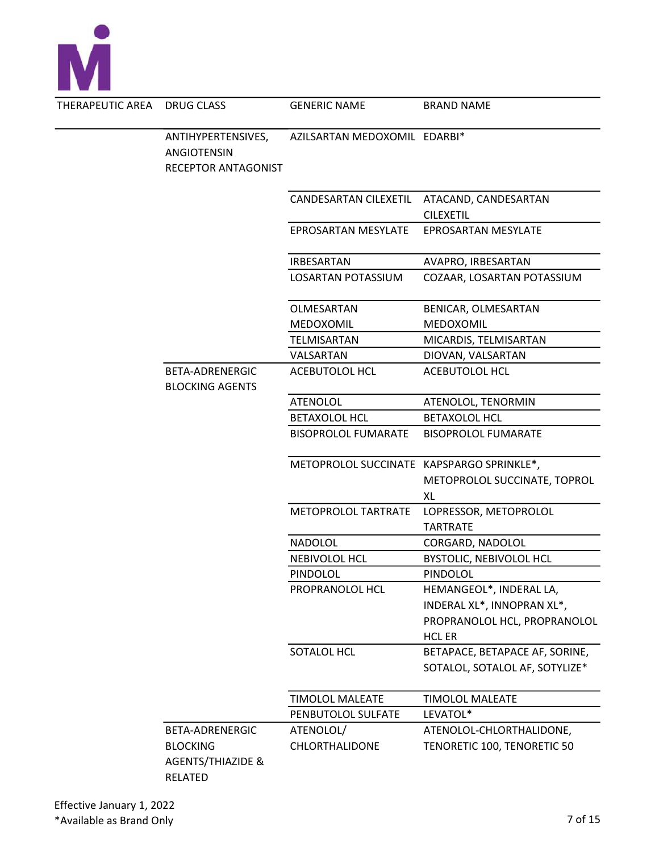

| $C$ AREA | DRUG CLASS                                                                           | <b>GENERIC NAME</b>                       | <b>BRAND NAME</b>                                                                                      |
|----------|--------------------------------------------------------------------------------------|-------------------------------------------|--------------------------------------------------------------------------------------------------------|
|          | ANTIHYPERTENSIVES,<br><b>ANGIOTENSIN</b><br>RECEPTOR ANTAGONIST                      | AZILSARTAN MEDOXOMIL EDARBI*              |                                                                                                        |
|          |                                                                                      |                                           | CANDESARTAN CILEXETIL ATACAND, CANDESARTAN<br><b>CILEXETIL</b>                                         |
|          |                                                                                      | EPROSARTAN MESYLATE                       | <b>EPROSARTAN MESYLATE</b>                                                                             |
|          |                                                                                      | <b>IRBESARTAN</b>                         | AVAPRO, IRBESARTAN                                                                                     |
|          |                                                                                      | LOSARTAN POTASSIUM                        | COZAAR, LOSARTAN POTASSIUM                                                                             |
|          |                                                                                      | OLMESARTAN<br>MEDOXOMIL                   | BENICAR, OLMESARTAN<br>MEDOXOMIL                                                                       |
|          |                                                                                      | TELMISARTAN                               | MICARDIS, TELMISARTAN                                                                                  |
|          |                                                                                      | VALSARTAN                                 | DIOVAN, VALSARTAN                                                                                      |
|          | BETA-ADRENERGIC<br><b>BLOCKING AGENTS</b>                                            | ACEBUTOLOL HCL                            | <b>ACEBUTOLOL HCL</b>                                                                                  |
|          |                                                                                      | <b>ATENOLOL</b>                           | ATENOLOL, TENORMIN                                                                                     |
|          |                                                                                      | <b>BETAXOLOL HCL</b>                      | <b>BETAXOLOL HCL</b>                                                                                   |
|          |                                                                                      | <b>BISOPROLOL FUMARATE</b>                | <b>BISOPROLOL FUMARATE</b>                                                                             |
|          |                                                                                      | METOPROLOL SUCCINATE KAPSPARGO SPRINKLE*, | METOPROLOL SUCCINATE, TOPROL<br>XL                                                                     |
|          |                                                                                      | METOPROLOL TARTRATE                       | LOPRESSOR, METOPROLOL<br><b>TARTRATE</b>                                                               |
|          |                                                                                      | <b>NADOLOL</b>                            | CORGARD, NADOLOL                                                                                       |
|          |                                                                                      | NEBIVOLOL HCL                             | <b>BYSTOLIC, NEBIVOLOL HCL</b>                                                                         |
|          |                                                                                      | <b>PINDOLOL</b>                           | PINDOLOL                                                                                               |
|          |                                                                                      | PROPRANOLOL HCL                           | HEMANGEOL*, INDERAL LA,<br>INDERAL XL*, INNOPRAN XL*,<br>PROPRANOLOL HCL, PROPRANOLOL<br><b>HCL ER</b> |
|          |                                                                                      | SOTALOL HCL                               | BETAPACE, BETAPACE AF, SORINE,<br>SOTALOL, SOTALOL AF, SOTYLIZE*                                       |
|          |                                                                                      | <b>TIMOLOL MALEATE</b>                    | <b>TIMOLOL MALEATE</b>                                                                                 |
|          |                                                                                      | PENBUTOLOL SULFATE                        | LEVATOL*                                                                                               |
|          | BETA-ADRENERGIC<br><b>BLOCKING</b><br><b>AGENTS/THIAZIDE &amp;</b><br><b>RELATED</b> | ATENOLOL/<br>CHLORTHALIDONE               | ATENOLOL-CHLORTHALIDONE,<br>TENORETIC 100, TENORETIC 50                                                |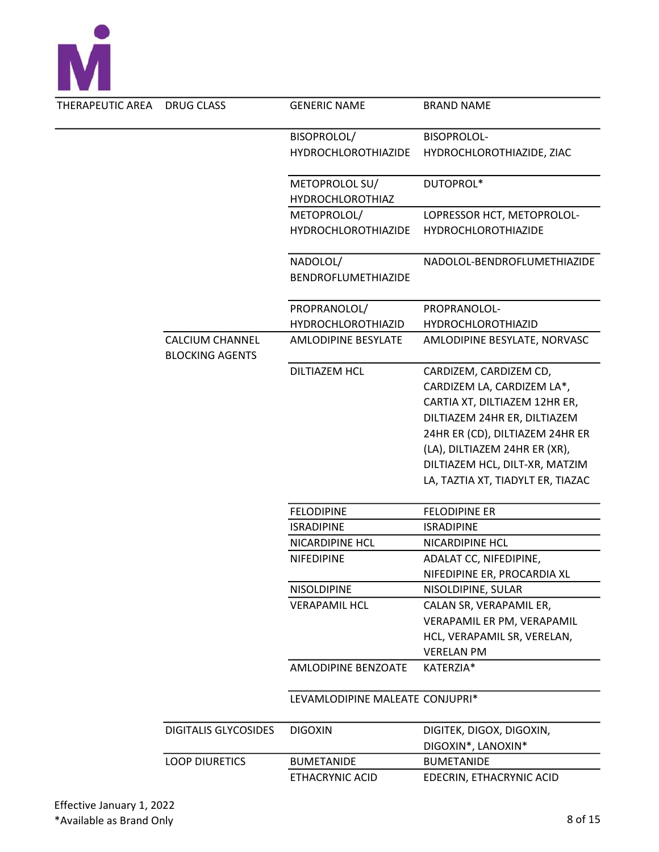

| THERAPEUTIC AREA | DRUG CLASS                                       | <b>GENERIC NAME</b>                       | <b>BRAND NAME</b>                              |
|------------------|--------------------------------------------------|-------------------------------------------|------------------------------------------------|
|                  |                                                  | BISOPROLOL/                               | <b>BISOPROLOL-</b>                             |
|                  |                                                  | <b>HYDROCHLOROTHIAZIDE</b>                | HYDROCHLOROTHIAZIDE, ZIAC                      |
|                  |                                                  | METOPROLOL SU/<br><b>HYDROCHLOROTHIAZ</b> | DUTOPROL*                                      |
|                  |                                                  | METOPROLOL/                               | LOPRESSOR HCT, METOPROLOL-                     |
|                  |                                                  | <b>HYDROCHLOROTHIAZIDE</b>                | <b>HYDROCHLOROTHIAZIDE</b>                     |
|                  |                                                  | NADOLOL/<br>BENDROFLUMETHIAZIDE           | NADOLOL-BENDROFLUMETHIAZIDE                    |
|                  |                                                  | PROPRANOLOL/                              | PROPRANOLOL-                                   |
|                  |                                                  | <b>HYDROCHLOROTHIAZID</b>                 | <b>HYDROCHLOROTHIAZID</b>                      |
|                  | <b>CALCIUM CHANNEL</b><br><b>BLOCKING AGENTS</b> | <b>AMLODIPINE BESYLATE</b>                | AMLODIPINE BESYLATE, NORVASC                   |
|                  |                                                  | <b>DILTIAZEM HCL</b>                      | CARDIZEM, CARDIZEM CD,                         |
|                  |                                                  |                                           | CARDIZEM LA, CARDIZEM LA*,                     |
|                  |                                                  |                                           | CARTIA XT, DILTIAZEM 12HR ER,                  |
|                  |                                                  |                                           | DILTIAZEM 24HR ER, DILTIAZEM                   |
|                  |                                                  |                                           | 24HR ER (CD), DILTIAZEM 24HR ER                |
|                  |                                                  |                                           | (LA), DILTIAZEM 24HR ER (XR),                  |
|                  |                                                  |                                           | DILTIAZEM HCL, DILT-XR, MATZIM                 |
|                  |                                                  |                                           | LA, TAZTIA XT, TIADYLT ER, TIAZAC              |
|                  |                                                  | <b>FELODIPINE</b>                         | <b>FELODIPINE ER</b>                           |
|                  |                                                  | <b>ISRADIPINE</b>                         | <b>ISRADIPINE</b>                              |
|                  |                                                  | NICARDIPINE HCL                           | NICARDIPINE HCL                                |
|                  |                                                  | <b>NIFEDIPINE</b>                         | ADALAT CC, NIFEDIPINE,                         |
|                  |                                                  |                                           | NIFEDIPINE ER, PROCARDIA XL                    |
|                  |                                                  | <b>NISOLDIPINE</b>                        | NISOLDIPINE, SULAR                             |
|                  |                                                  | <b>VERAPAMIL HCL</b>                      | CALAN SR, VERAPAMIL ER,                        |
|                  |                                                  |                                           | VERAPAMIL ER PM, VERAPAMIL                     |
|                  |                                                  |                                           | HCL, VERAPAMIL SR, VERELAN,                    |
|                  |                                                  |                                           | <b>VERELAN PM</b>                              |
|                  |                                                  | AMLODIPINE BENZOATE                       | KATERZIA*                                      |
|                  |                                                  | LEVAMLODIPINE MALEATE CONJUPRI*           |                                                |
|                  | <b>DIGITALIS GLYCOSIDES</b>                      | <b>DIGOXIN</b>                            | DIGITEK, DIGOX, DIGOXIN,<br>DIGOXIN*, LANOXIN* |
|                  | <b>LOOP DIURETICS</b>                            | <b>BUMETANIDE</b>                         | <b>BUMETANIDE</b>                              |
|                  |                                                  | ETHACRYNIC ACID                           | EDECRIN, ETHACRYNIC ACID                       |
|                  |                                                  |                                           |                                                |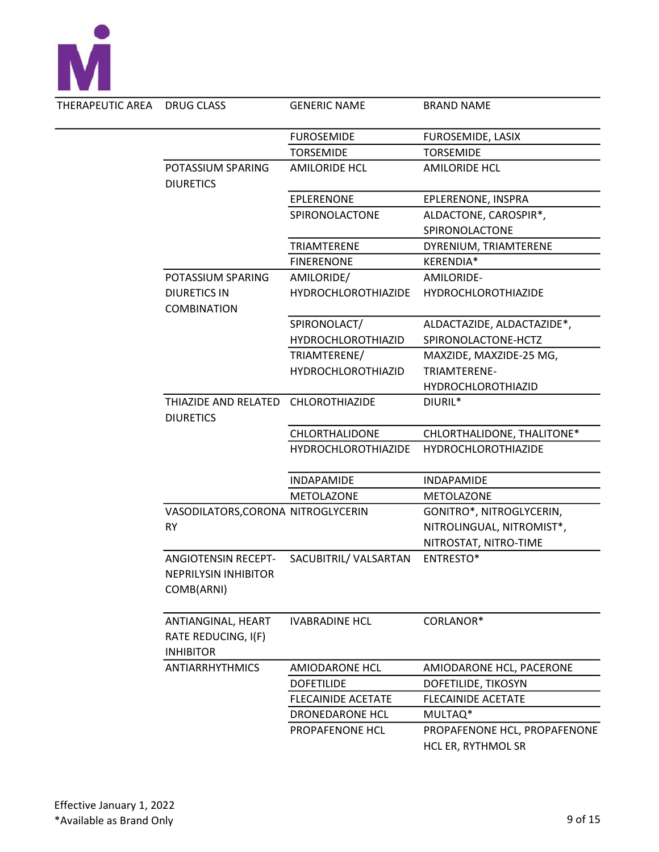

| AREA | <b>DRUG CLASS</b>                                                       | <b>GENERIC NAME</b>        | <b>BRAND NAME</b>            |
|------|-------------------------------------------------------------------------|----------------------------|------------------------------|
|      |                                                                         | <b>FUROSEMIDE</b>          | FUROSEMIDE, LASIX            |
|      |                                                                         | <b>TORSEMIDE</b>           | <b>TORSEMIDE</b>             |
|      | POTASSIUM SPARING<br><b>DIURETICS</b>                                   | <b>AMILORIDE HCL</b>       | <b>AMILORIDE HCL</b>         |
|      |                                                                         | EPLERENONE                 | EPLERENONE, INSPRA           |
|      |                                                                         | SPIRONOLACTONE             | ALDACTONE, CAROSPIR*,        |
|      |                                                                         |                            | SPIRONOLACTONE               |
|      |                                                                         | TRIAMTERENE                | DYRENIUM, TRIAMTERENE        |
|      |                                                                         | <b>FINERENONE</b>          | KERENDIA*                    |
|      | POTASSIUM SPARING                                                       | AMILORIDE/                 | AMILORIDE-                   |
|      | <b>DIURETICS IN</b><br><b>COMBINATION</b>                               | <b>HYDROCHLOROTHIAZIDE</b> | <b>HYDROCHLOROTHIAZIDE</b>   |
|      |                                                                         | SPIRONOLACT/               | ALDACTAZIDE, ALDACTAZIDE*,   |
|      |                                                                         | HYDROCHLOROTHIAZID         | SPIRONOLACTONE-HCTZ          |
|      |                                                                         | TRIAMTERENE/               | MAXZIDE, MAXZIDE-25 MG,      |
|      |                                                                         | <b>HYDROCHLOROTHIAZID</b>  | TRIAMTERENE-                 |
|      |                                                                         |                            | <b>HYDROCHLOROTHIAZID</b>    |
|      | THIAZIDE AND RELATED CHLOROTHIAZIDE<br><b>DIURETICS</b>                 |                            | DIURIL*                      |
|      |                                                                         | CHLORTHALIDONE             | CHLORTHALIDONE, THALITONE*   |
|      |                                                                         | <b>HYDROCHLOROTHIAZIDE</b> | <b>HYDROCHLOROTHIAZIDE</b>   |
|      |                                                                         | <b>INDAPAMIDE</b>          | <b>INDAPAMIDE</b>            |
|      |                                                                         | METOLAZONE                 | <b>METOLAZONE</b>            |
|      | VASODILATORS, CORONA NITROGLYCERIN                                      |                            | GONITRO*, NITROGLYCERIN,     |
|      | <b>RY</b>                                                               |                            | NITROLINGUAL, NITROMIST*,    |
|      |                                                                         |                            | NITROSTAT, NITRO-TIME        |
|      | <b>ANGIOTENSIN RECEPT-</b><br><b>NEPRILYSIN INHIBITOR</b><br>COMB(ARNI) | SACUBITRIL/ VALSARTAN      | <b>ENTRESTO*</b>             |
|      | ANTIANGINAL, HEART<br>RATE REDUCING, I(F)<br><b>INHIBITOR</b>           | <b>IVABRADINE HCL</b>      | CORLANOR*                    |
|      | <b>ANTIARRHYTHMICS</b>                                                  | <b>AMIODARONE HCL</b>      | AMIODARONE HCL, PACERONE     |
|      |                                                                         | <b>DOFETILIDE</b>          | DOFETILIDE, TIKOSYN          |
|      |                                                                         | <b>FLECAINIDE ACETATE</b>  | <b>FLECAINIDE ACETATE</b>    |
|      |                                                                         | DRONEDARONE HCL            | MULTAQ*                      |
|      |                                                                         | PROPAFENONE HCL            | PROPAFENONE HCL, PROPAFENONE |
|      |                                                                         |                            | HCL ER, RYTHMOL SR           |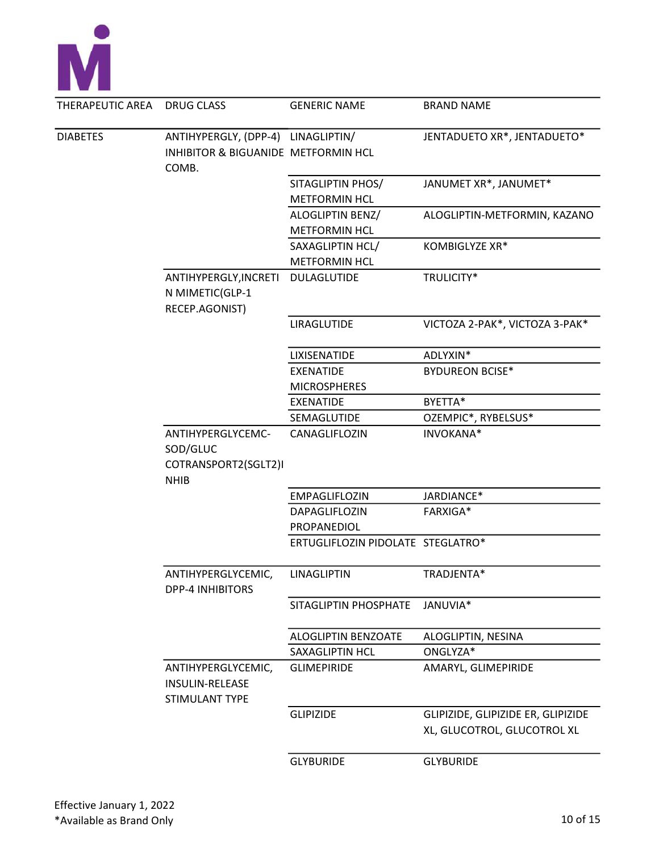

| THERAPEUTIC AREA | <b>DRUG CLASS</b>                                       | <b>GENERIC NAME</b>               | <b>BRAND NAME</b>                                                 |
|------------------|---------------------------------------------------------|-----------------------------------|-------------------------------------------------------------------|
| <b>DIABETES</b>  | ANTIHYPERGLY, (DPP-4) LINAGLIPTIN/                      |                                   | JENTADUETO XR*, JENTADUETO*                                       |
|                  | INHIBITOR & BIGUANIDE METFORMIN HCL                     |                                   |                                                                   |
|                  | COMB.                                                   |                                   |                                                                   |
|                  |                                                         | SITAGLIPTIN PHOS/                 | JANUMET XR*, JANUMET*                                             |
|                  |                                                         | <b>METFORMIN HCL</b>              |                                                                   |
|                  |                                                         | ALOGLIPTIN BENZ/                  | ALOGLIPTIN-METFORMIN, KAZANO                                      |
|                  |                                                         | <b>METFORMIN HCL</b>              |                                                                   |
|                  |                                                         | SAXAGLIPTIN HCL/                  | KOMBIGLYZE XR*                                                    |
|                  |                                                         | <b>METFORMIN HCL</b>              |                                                                   |
|                  | ANTIHYPERGLY, INCRETI                                   | DULAGLUTIDE                       | TRULICITY*                                                        |
|                  | N MIMETIC(GLP-1                                         |                                   |                                                                   |
|                  | RECEP.AGONIST)                                          |                                   |                                                                   |
|                  |                                                         | LIRAGLUTIDE                       | VICTOZA 2-PAK*, VICTOZA 3-PAK*                                    |
|                  |                                                         | LIXISENATIDE                      | ADLYXIN*                                                          |
|                  |                                                         | <b>EXENATIDE</b>                  | <b>BYDUREON BCISE*</b>                                            |
|                  |                                                         | <b>MICROSPHERES</b>               |                                                                   |
|                  |                                                         | <b>EXENATIDE</b>                  | BYETTA*                                                           |
|                  |                                                         | SEMAGLUTIDE                       | OZEMPIC*, RYBELSUS*                                               |
|                  | ANTIHYPERGLYCEMC-<br>SOD/GLUC                           | CANAGLIFLOZIN                     | INVOKANA*                                                         |
|                  | COTRANSPORT2(SGLT2)I<br><b>NHIB</b>                     |                                   |                                                                   |
|                  |                                                         | EMPAGLIFLOZIN                     | JARDIANCE*                                                        |
|                  |                                                         | DAPAGLIFLOZIN                     | FARXIGA*                                                          |
|                  |                                                         | PROPANEDIOL                       |                                                                   |
|                  |                                                         | ERTUGLIFLOZIN PIDOLATE STEGLATRO* |                                                                   |
|                  | ANTIHYPERGLYCEMIC,<br><b>DPP-4 INHIBITORS</b>           | LINAGLIPTIN                       | TRADJENTA*                                                        |
|                  |                                                         | SITAGLIPTIN PHOSPHATE             | JANUVIA*                                                          |
|                  |                                                         | ALOGLIPTIN BENZOATE               | ALOGLIPTIN, NESINA                                                |
|                  |                                                         | SAXAGLIPTIN HCL                   | ONGLYZA*                                                          |
|                  | ANTIHYPERGLYCEMIC,<br>INSULIN-RELEASE<br>STIMULANT TYPE | <b>GLIMEPIRIDE</b>                | AMARYL, GLIMEPIRIDE                                               |
|                  |                                                         | <b>GLIPIZIDE</b>                  | GLIPIZIDE, GLIPIZIDE ER, GLIPIZIDE<br>XL, GLUCOTROL, GLUCOTROL XL |
|                  |                                                         | <b>GLYBURIDE</b>                  | <b>GLYBURIDE</b>                                                  |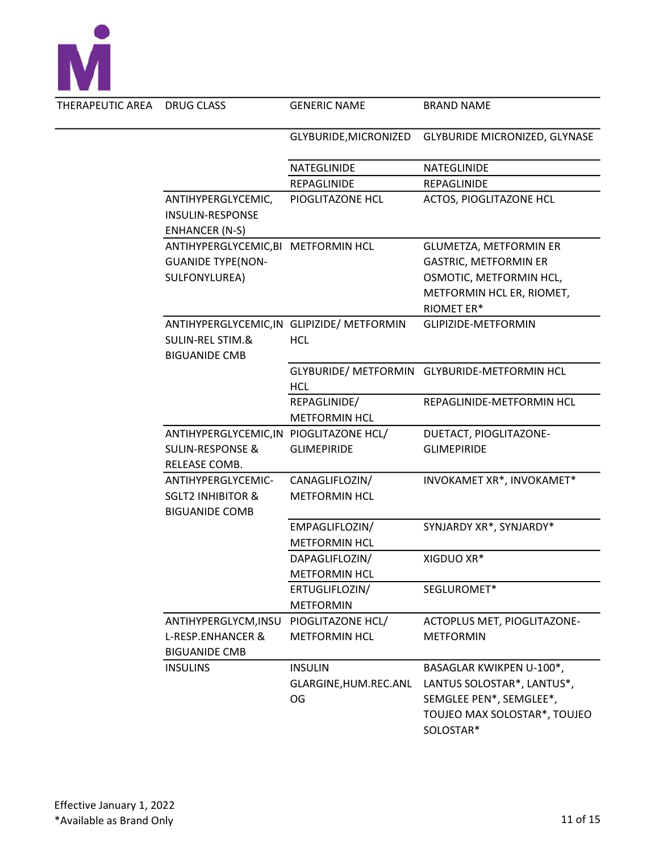

| ERAPEUTIC AREA | DRUG CLASS                              | <b>GENERIC NAME</b>                        | <b>BRAND NAME</b>                            |
|----------------|-----------------------------------------|--------------------------------------------|----------------------------------------------|
|                |                                         | GLYBURIDE, MICRONIZED                      | GLYBURIDE MICRONIZED, GLYNASE                |
|                |                                         | NATEGLINIDE                                | NATEGLINIDE                                  |
|                |                                         | REPAGLINIDE                                | REPAGLINIDE                                  |
|                | ANTIHYPERGLYCEMIC,                      | PIOGLITAZONE HCL                           | ACTOS, PIOGLITAZONE HCL                      |
|                | <b>INSULIN-RESPONSE</b>                 |                                            |                                              |
|                | <b>ENHANCER (N-S)</b>                   |                                            |                                              |
|                | ANTIHYPERGLYCEMIC, BI METFORMIN HCL     |                                            | <b>GLUMETZA, METFORMIN ER</b>                |
|                | <b>GUANIDE TYPE(NON-</b>                |                                            | <b>GASTRIC, METFORMIN ER</b>                 |
|                | SULFONYLUREA)                           |                                            | OSMOTIC, METFORMIN HCL,                      |
|                |                                         |                                            | METFORMIN HCL ER, RIOMET,                    |
|                |                                         |                                            | RIOMET ER*                                   |
|                |                                         | ANTIHYPERGLYCEMIC, IN GLIPIZIDE/ METFORMIN | GLIPIZIDE-METFORMIN                          |
|                | <b>SULIN-REL STIM.&amp;</b>             | <b>HCL</b>                                 |                                              |
|                | <b>BIGUANIDE CMB</b>                    |                                            |                                              |
|                |                                         |                                            | GLYBURIDE/ METFORMIN GLYBURIDE-METFORMIN HCL |
|                |                                         | <b>HCL</b>                                 |                                              |
|                |                                         | REPAGLINIDE/                               | REPAGLINIDE-METFORMIN HCL                    |
|                |                                         | <b>METFORMIN HCL</b>                       |                                              |
|                | ANTIHYPERGLYCEMIC, IN PIOGLITAZONE HCL/ |                                            | DUETACT, PIOGLITAZONE-                       |
|                | <b>SULIN-RESPONSE &amp;</b>             | <b>GLIMEPIRIDE</b>                         | <b>GLIMEPIRIDE</b>                           |
|                | RELEASE COMB.                           |                                            |                                              |
|                | ANTIHYPERGLYCEMIC-                      | CANAGLIFLOZIN/                             | INVOKAMET XR*, INVOKAMET*                    |
|                | <b>SGLT2 INHIBITOR &amp;</b>            | <b>METFORMIN HCL</b>                       |                                              |
|                | <b>BIGUANIDE COMB</b>                   |                                            |                                              |
|                |                                         | EMPAGLIFLOZIN/                             | SYNJARDY XR*, SYNJARDY*                      |
|                |                                         | <b>METFORMIN HCL</b>                       |                                              |
|                |                                         | DAPAGLIFLOZIN/                             | XIGDUO XR*                                   |
|                |                                         | <b>METFORMIN HCL</b>                       |                                              |
|                |                                         | ERTUGLIFLOZIN/                             | SEGLUROMET*                                  |
|                |                                         | <b>METFORMIN</b>                           |                                              |
|                | ANTIHYPERGLYCM, INSU                    | PIOGLITAZONE HCL/                          | ACTOPLUS MET, PIOGLITAZONE-                  |
|                | <b>L-RESP.ENHANCER &amp;</b>            | <b>METFORMIN HCL</b>                       | <b>METFORMIN</b>                             |
|                | <b>BIGUANIDE CMB</b>                    |                                            |                                              |
|                | <b>INSULINS</b>                         | <b>INSULIN</b>                             | BASAGLAR KWIKPEN U-100*,                     |
|                |                                         | GLARGINE, HUM.REC.ANL                      | LANTUS SOLOSTAR*, LANTUS*,                   |
|                |                                         | OG                                         | SEMGLEE PEN*, SEMGLEE*,                      |
|                |                                         |                                            | TOUJEO MAX SOLOSTAR*, TOUJEO                 |
|                |                                         |                                            | SOLOSTAR*                                    |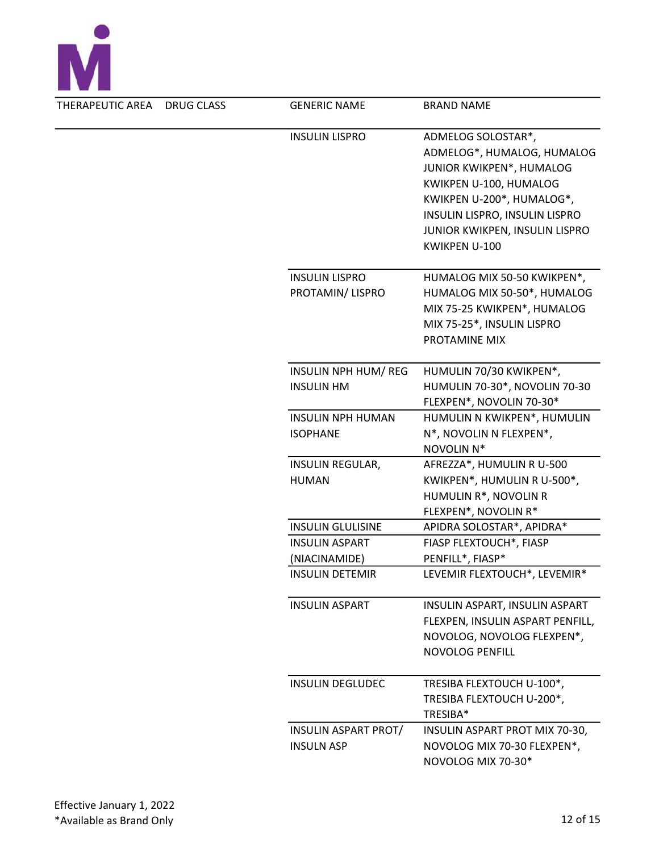

| THERAPEUTIC AREA | <b>DRUG CLASS</b> | <b>GENERIC NAME</b>                                                  | <b>BRAND NAME</b>                                                                                                                                                                                                        |
|------------------|-------------------|----------------------------------------------------------------------|--------------------------------------------------------------------------------------------------------------------------------------------------------------------------------------------------------------------------|
|                  |                   | <b>INSULIN LISPRO</b>                                                | ADMELOG SOLOSTAR*,<br>ADMELOG*, HUMALOG, HUMALOG<br>JUNIOR KWIKPEN*, HUMALOG<br>KWIKPEN U-100, HUMALOG<br>KWIKPEN U-200*, HUMALOG*,<br>INSULIN LISPRO, INSULIN LISPRO<br>JUNIOR KWIKPEN, INSULIN LISPRO<br>KWIKPEN U-100 |
|                  |                   | <b>INSULIN LISPRO</b><br>PROTAMIN/LISPRO                             | HUMALOG MIX 50-50 KWIKPEN*,<br>HUMALOG MIX 50-50*, HUMALOG<br>MIX 75-25 KWIKPEN*, HUMALOG<br>MIX 75-25*, INSULIN LISPRO<br>PROTAMINE MIX                                                                                 |
|                  |                   | INSULIN NPH HUM/REG<br><b>INSULIN HM</b><br><b>INSULIN NPH HUMAN</b> | HUMULIN 70/30 KWIKPEN*,<br>HUMULIN 70-30*, NOVOLIN 70-30<br>FLEXPEN*, NOVOLIN 70-30*<br>HUMULIN N KWIKPEN*, HUMULIN                                                                                                      |
|                  |                   | <b>ISOPHANE</b>                                                      | N*, NOVOLIN N FLEXPEN*,<br>NOVOLIN N*                                                                                                                                                                                    |
|                  |                   | <b>INSULIN REGULAR,</b><br><b>HUMAN</b>                              | AFREZZA*, HUMULIN R U-500<br>KWIKPEN*, HUMULIN R U-500*,<br>HUMULIN R*, NOVOLIN R<br>FLEXPEN*, NOVOLIN R*                                                                                                                |
|                  |                   | <b>INSULIN GLULISINE</b>                                             | APIDRA SOLOSTAR*, APIDRA*                                                                                                                                                                                                |
|                  |                   | <b>INSULIN ASPART</b>                                                | FIASP FLEXTOUCH*, FIASP                                                                                                                                                                                                  |
|                  |                   | (NIACINAMIDE)                                                        | PENFILL*, FIASP*                                                                                                                                                                                                         |
|                  |                   | <b>INSULIN DETEMIR</b>                                               | LEVEMIR FLEXTOUCH*, LEVEMIR*                                                                                                                                                                                             |
|                  |                   | <b>INSULIN ASPART</b>                                                | INSULIN ASPART, INSULIN ASPART<br>FLEXPEN, INSULIN ASPART PENFILL,<br>NOVOLOG, NOVOLOG FLEXPEN*,<br>NOVOLOG PENFILL                                                                                                      |
|                  |                   | <b>INSULIN DEGLUDEC</b>                                              | TRESIBA FLEXTOUCH U-100*,<br>TRESIBA FLEXTOUCH U-200*,<br>TRESIBA*                                                                                                                                                       |
|                  |                   | INSULIN ASPART PROT/<br><b>INSULN ASP</b>                            | INSULIN ASPART PROT MIX 70-30,<br>NOVOLOG MIX 70-30 FLEXPEN*,<br>NOVOLOG MIX 70-30*                                                                                                                                      |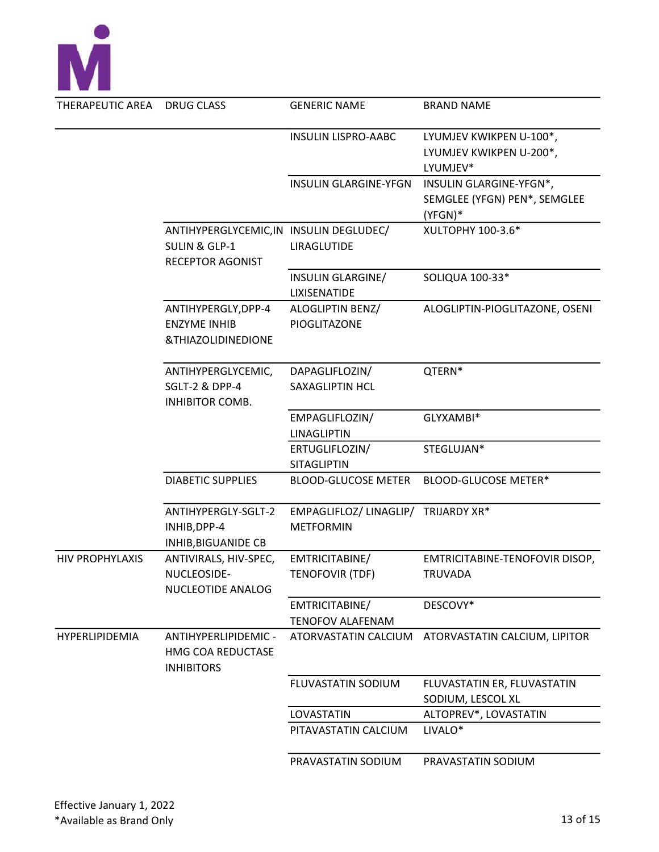

| THERAPEUTIC AREA       | DRUG CLASS                                                                              | <b>GENERIC NAME</b>                                     | <b>BRAND NAME</b>                                                  |
|------------------------|-----------------------------------------------------------------------------------------|---------------------------------------------------------|--------------------------------------------------------------------|
|                        |                                                                                         | <b>INSULIN LISPRO-AABC</b>                              | LYUMJEV KWIKPEN U-100*,<br>LYUMJEV KWIKPEN U-200*,<br>LYUMJEV*     |
|                        |                                                                                         | <b>INSULIN GLARGINE-YFGN</b>                            | INSULIN GLARGINE-YFGN*,<br>SEMGLEE (YFGN) PEN*, SEMGLEE<br>(YFGN)* |
|                        | ANTIHYPERGLYCEMIC, IN INSULIN DEGLUDEC/<br><b>SULIN &amp; GLP-1</b><br>RECEPTOR AGONIST | LIRAGLUTIDE                                             | XULTOPHY 100-3.6*                                                  |
|                        |                                                                                         | INSULIN GLARGINE/<br><b>LIXISENATIDE</b>                | SOLIQUA 100-33*                                                    |
|                        | ANTIHYPERGLY, DPP-4<br><b>ENZYME INHIB</b><br>&THIAZOLIDINEDIONE                        | ALOGLIPTIN BENZ/<br>PIOGLITAZONE                        | ALOGLIPTIN-PIOGLITAZONE, OSENI                                     |
|                        | ANTIHYPERGLYCEMIC,<br>SGLT-2 & DPP-4<br>INHIBITOR COMB.                                 | DAPAGLIFLOZIN/<br>SAXAGLIPTIN HCL                       | QTERN*                                                             |
|                        |                                                                                         | EMPAGLIFLOZIN/<br><b>LINAGLIPTIN</b>                    | GLYXAMBI*                                                          |
|                        |                                                                                         | ERTUGLIFLOZIN/<br><b>SITAGLIPTIN</b>                    | STEGLUJAN*                                                         |
|                        | <b>DIABETIC SUPPLIES</b>                                                                | <b>BLOOD-GLUCOSE METER</b>                              | BLOOD-GLUCOSE METER*                                               |
|                        | ANTIHYPERGLY-SGLT-2<br>INHIB, DPP-4<br>INHIB, BIGUANIDE CB                              | EMPAGLIFLOZ/ LINAGLIP/ TRIJARDY XR*<br><b>METFORMIN</b> |                                                                    |
| <b>HIV PROPHYLAXIS</b> | ANTIVIRALS, HIV-SPEC,<br>NUCLEOSIDE-<br><b>NUCLEOTIDE ANALOG</b>                        | EMTRICITABINE/<br><b>TENOFOVIR (TDF)</b>                | EMTRICITABINE-TENOFOVIR DISOP,<br>TRUVADA                          |
|                        |                                                                                         | EMTRICITABINE/<br><b>TENOFOV ALAFENAM</b>               | DESCOVY*                                                           |
| HYPERLIPIDEMIA         | ANTIHYPERLIPIDEMIC -<br>HMG COA REDUCTASE<br><b>INHIBITORS</b>                          | ATORVASTATIN CALCIUM                                    | ATORVASTATIN CALCIUM, LIPITOR                                      |
|                        |                                                                                         | FLUVASTATIN SODIUM                                      | FLUVASTATIN ER, FLUVASTATIN<br>SODIUM, LESCOL XL                   |
|                        |                                                                                         | LOVASTATIN                                              | ALTOPREV*, LOVASTATIN                                              |
|                        |                                                                                         | PITAVASTATIN CALCIUM                                    | LIVALO*                                                            |
|                        |                                                                                         | PRAVASTATIN SODIUM                                      | PRAVASTATIN SODIUM                                                 |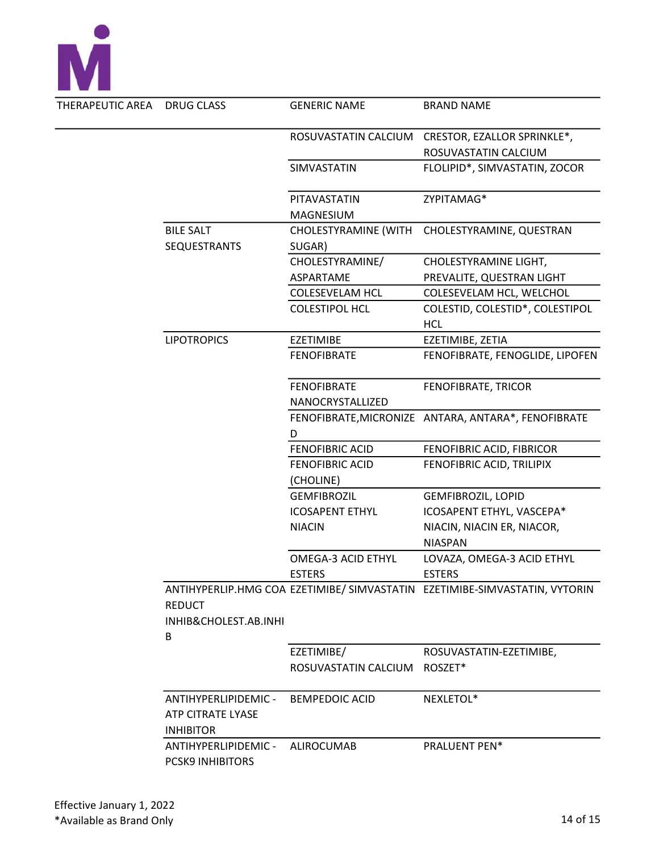

| DRUG CLASS                               | <b>GENERIC NAME</b>         | <b>BRAND NAME</b>                                                          |
|------------------------------------------|-----------------------------|----------------------------------------------------------------------------|
|                                          | ROSUVASTATIN CALCIUM        | CRESTOR, EZALLOR SPRINKLE*,                                                |
|                                          |                             | ROSUVASTATIN CALCIUM                                                       |
|                                          | SIMVASTATIN                 | FLOLIPID*, SIMVASTATIN, ZOCOR                                              |
|                                          | PITAVASTATIN                | ZYPITAMAG*                                                                 |
|                                          | <b>MAGNESIUM</b>            |                                                                            |
| <b>BILE SALT</b>                         | <b>CHOLESTYRAMINE (WITH</b> | CHOLESTYRAMINE, QUESTRAN                                                   |
| <b>SEQUESTRANTS</b>                      | SUGAR)                      |                                                                            |
|                                          | CHOLESTYRAMINE/             | CHOLESTYRAMINE LIGHT,                                                      |
|                                          | ASPARTAME                   | PREVALITE, QUESTRAN LIGHT                                                  |
|                                          | COLESEVELAM HCL             | COLESEVELAM HCL, WELCHOL                                                   |
|                                          | <b>COLESTIPOL HCL</b>       | COLESTID, COLESTID*, COLESTIPOL                                            |
|                                          |                             | <b>HCL</b>                                                                 |
| <b>LIPOTROPICS</b>                       | <b>EZETIMIBE</b>            | EZETIMIBE, ZETIA                                                           |
|                                          | <b>FENOFIBRATE</b>          | FENOFIBRATE, FENOGLIDE, LIPOFEN                                            |
|                                          | <b>FENOFIBRATE</b>          | FENOFIBRATE, TRICOR                                                        |
|                                          | NANOCRYSTALLIZED            |                                                                            |
|                                          |                             | FENOFIBRATE, MICRONIZE ANTARA, ANTARA*, FENOFIBRATE                        |
|                                          | D                           |                                                                            |
|                                          | <b>FENOFIBRIC ACID</b>      | FENOFIBRIC ACID, FIBRICOR                                                  |
|                                          | <b>FENOFIBRIC ACID</b>      | FENOFIBRIC ACID, TRILIPIX                                                  |
|                                          | (CHOLINE)                   |                                                                            |
|                                          | <b>GEMFIBROZIL</b>          | <b>GEMFIBROZIL, LOPID</b>                                                  |
|                                          | <b>ICOSAPENT ETHYL</b>      | ICOSAPENT ETHYL, VASCEPA*                                                  |
|                                          | <b>NIACIN</b>               | NIACIN, NIACIN ER, NIACOR,                                                 |
|                                          |                             | <b>NIASPAN</b>                                                             |
|                                          | OMEGA-3 ACID ETHYL          | LOVAZA, OMEGA-3 ACID ETHYL                                                 |
|                                          | <b>ESTERS</b>               | <b>ESTERS</b>                                                              |
| <b>REDUCT</b>                            |                             | ANTIHYPERLIP.HMG COA EZETIMIBE/ SIMVASTATIN EZETIMIBE-SIMVASTATIN, VYTORIN |
| INHIB&CHOLEST.AB.INHI                    |                             |                                                                            |
| B                                        |                             |                                                                            |
|                                          | EZETIMIBE/                  | ROSUVASTATIN-EZETIMIBE,                                                    |
|                                          | ROSUVASTATIN CALCIUM        | ROSZET*                                                                    |
| ANTIHYPERLIPIDEMIC -                     | <b>BEMPEDOIC ACID</b>       | NEXLETOL*                                                                  |
| ATP CITRATE LYASE                        |                             |                                                                            |
| <b>INHIBITOR</b><br>ANTIHYPERLIPIDEMIC - | <b>ALIROCUMAB</b>           | PRALUENT PEN*                                                              |
| <b>PCSK9 INHIBITORS</b>                  |                             |                                                                            |